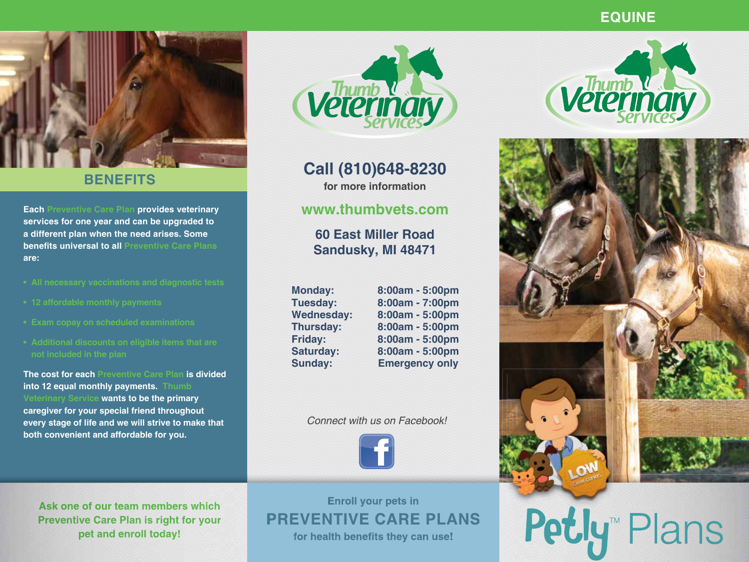# **EQUINE**



# **BENEFITS**

**Each Preventive Care Plan provides veterinary services for one year and can be upgraded to a different plan when the need arises. Some benefits universal to all Preventive Care Plans are:**

- 
- 
- 
- 

**The cost for each Preventive Care Plan is divided into 12 equal monthly payments. Thumb Veterinary Service wants to be the primary caregiver for your special friend throughout every stage of life and we will strive to make that both convenient and affordable for you.**

**Vetermary** 

**Call (810)648-8230 for more information**

# **www.thumbvets.com**

**60 East Miller Road Sandusky, MI 48471**

**Monday: 8:00am - 5:00pm**

**Tuesday: 8:00am - 7:00pm Wednesday: 8:00am - 5:00pm Thursday: 8:00am - 5:00pm Friday: 8:00am - 5:00pm Saturday: 8:00am - 5:00pm Sunday: Emergency only**

### *Connect with us on Facebook!*



**Ask one of our team members which Preventive Care Plan is right for your pet and enroll today!**

**Enroll your pets in PREVENTIVE CARE PLANS** for health benefits they can use!





# Petly™ Plans